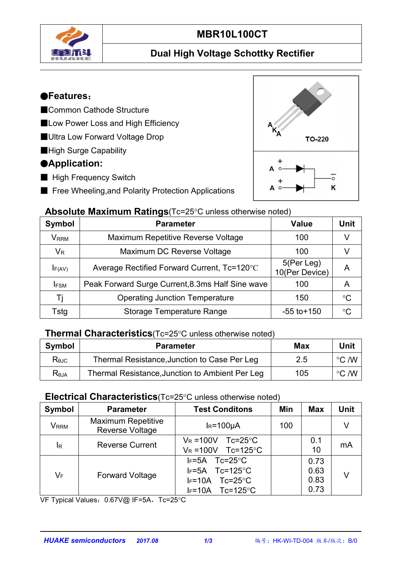

## **MBR10L100CT**

#### **Dual High Voltage Schottky Rectifier**

#### ●**Features**:

- ■Common Cathode Structure
- ■Low Power Loss and High Efficiency
- ■Ultra Low Forward Voltage Drop
- ■High Surge Capability

#### ●**Application:**

- High Frequency Switch
- Free Wheeling, and Polarity Protection Applications

#### **Absolute Maximum Ratings**(Tc=25°C unless otherwise noted)

| Symbol      | <b>Parameter</b>                                 | <b>Value</b>                 | <b>Unit</b>     |
|-------------|--------------------------------------------------|------------------------------|-----------------|
| <b>VRRM</b> | Maximum Repetitive Reverse Voltage               | 100                          |                 |
| $V_R$       | Maximum DC Reverse Voltage                       | 100                          |                 |
| IF(AV)      | Average Rectified Forward Current, Tc=120°C      | 5(Per Leg)<br>10(Per Device) | A               |
| <b>IFSM</b> | Peak Forward Surge Current, 8.3ms Half Sine wave | 100                          | A               |
|             | <b>Operating Junction Temperature</b>            | 150                          | $^{\circ}C$     |
| Tstg        | Storage Temperature Range                        | $-55$ to $+150$              | $\rm ^{\circ}C$ |

#### **Thermal Characteristics**(Tc=25°C unless otherwise noted)

| <b>Symbol</b>  | <b>Parameter</b>                                | <b>Max</b> | Unit           |
|----------------|-------------------------------------------------|------------|----------------|
| $R_{\theta$ JC | Thermal Resistance, Junction to Case Per Leg    | 2.5        | $\degree$ C /W |
| Reja           | Thermal Resistance, Junction to Ambient Per Leg | 105        | $\degree$ C /W |

#### **Electrical Characteristics**(Tc=25°C unless otherwise noted)

| Symbol           | <b>Parameter</b>                             | <b>Test Conditons</b>                                                                                                                         | Min | <b>Max</b>                   | <b>Unit</b> |
|------------------|----------------------------------------------|-----------------------------------------------------------------------------------------------------------------------------------------------|-----|------------------------------|-------------|
| V <sub>RRM</sub> | <b>Maximum Repetitive</b><br>Reverse Voltage | $IR=100µA$                                                                                                                                    | 100 |                              | V           |
| l <sub>R</sub>   | <b>Reverse Current</b>                       | $Tc = 25^{\circ}C$<br>$V_R = 100V$<br>$Tc=125^{\circ}C$<br>$V_R = 100V$                                                                       |     | 0.1<br>10                    | mA          |
| VF               | <b>Forward Voltage</b>                       | $Tc = 25^{\circ}C$<br>$F=5A$<br>$Tc = 125^{\circ}C$<br>l <sub>F</sub> =5A<br>$IF=10A$<br>$Tc = 25^{\circ}C$<br>Tc=125 $\degree$ C<br>$IF=10A$ |     | 0.73<br>0.63<br>0.83<br>0.73 | V           |

VF Typical Values: 0.67V@ IF=5A, Tc=25°C

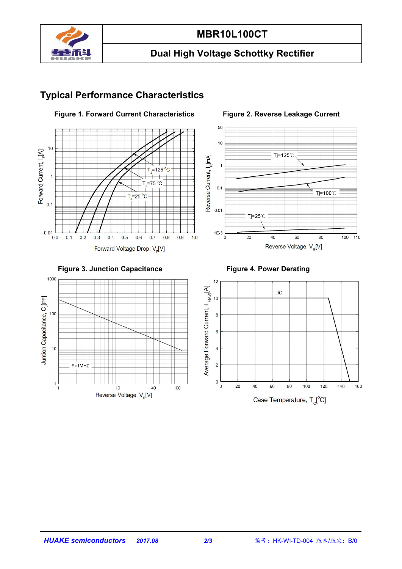

#### **MBR10L100CT**

## **Dual High Voltage Schottky Rectifier**

## **Typical Performance Characteristics**



#### **Figure 1. Forward Current Characteristics Figure 2. Reverse Leakage Current**





 $10$ 

Reverse Voltage, V<sub>R</sub>[V]

40

100

1000

100

10

 $\mathbf{1}$ 

 $\overline{1}$ 

 $F = 1MHz$ 

Juntion Capacitance, C<sub>I</sub>PF]